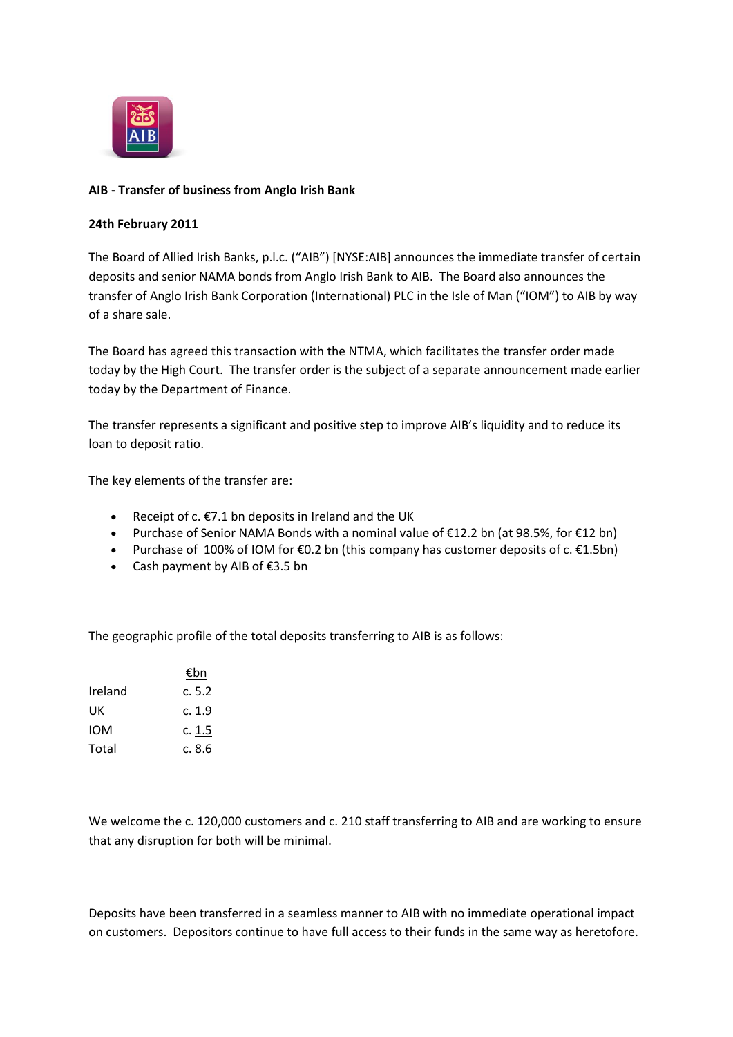

## **AIB - Transfer of business from Anglo Irish Bank**

## **24th February 2011**

The Board of Allied Irish Banks, p.l.c. ("AIB") [NYSE:AIB] announces the immediate transfer of certain deposits and senior NAMA bonds from Anglo Irish Bank to AIB. The Board also announces the transfer of Anglo Irish Bank Corporation (International) PLC in the Isle of Man ("IOM") to AIB by way of a share sale.

The Board has agreed this transaction with the NTMA, which facilitates the transfer order made today by the High Court. The transfer order is the subject of a separate announcement made earlier today by the Department of Finance.

The transfer represents a significant and positive step to improve AIB's liquidity and to reduce its loan to deposit ratio.

The key elements of the transfer are:

- Receipt of  $c.$  €7.1 bn deposits in Ireland and the UK
- Purchase of Senior NAMA Bonds with a nominal value of €12.2 bn (at 98.5%, for €12 bn)
- Purchase of 100% of IOM for  $\epsilon$ 0.2 bn (this company has customer deposits of c.  $\epsilon$ 1.5bn)
- Cash payment by AIB of €3.5 bn

The geographic profile of the total deposits transferring to AIB is as follows:

|            | €bn    |
|------------|--------|
| Ireland    | c.5.2  |
| UK         | c. 1.9 |
| <b>IOM</b> | c. 1.5 |
| Total      | c. 8.6 |

We welcome the c. 120,000 customers and c. 210 staff transferring to AIB and are working to ensure that any disruption for both will be minimal.

Deposits have been transferred in a seamless manner to AIB with no immediate operational impact on customers. Depositors continue to have full access to their funds in the same way as heretofore.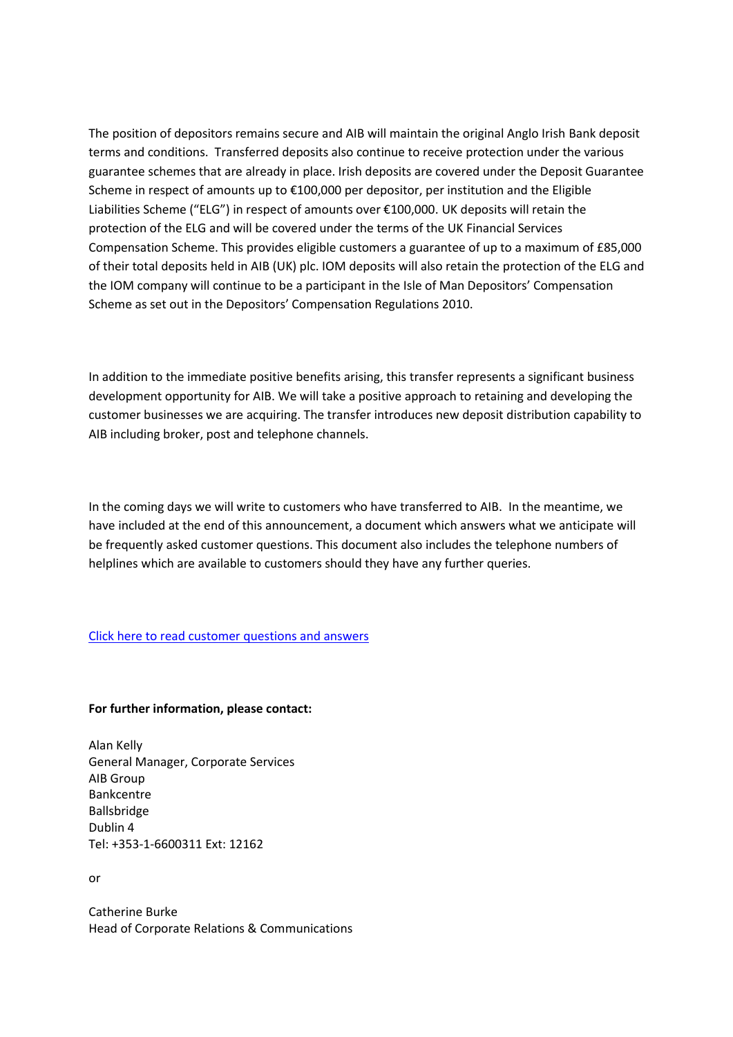The position of depositors remains secure and AIB will maintain the original Anglo Irish Bank deposit terms and conditions. Transferred deposits also continue to receive protection under the various guarantee schemes that are already in place. Irish deposits are covered under the Deposit Guarantee Scheme in respect of amounts up to €100,000 per depositor, per institution and the Eligible Liabilities Scheme ("ELG") in respect of amounts over €100,000. UK deposits will retain the protection of the ELG and will be covered under the terms of the UK Financial Services Compensation Scheme. This provides eligible customers a guarantee of up to a maximum of £85,000 of their total deposits held in AIB (UK) plc. IOM deposits will also retain the protection of the ELG and the IOM company will continue to be a participant in the Isle of Man Depositors' Compensation Scheme as set out in the Depositors' Compensation Regulations 2010.

In addition to the immediate positive benefits arising, this transfer represents a significant business development opportunity for AIB. We will take a positive approach to retaining and developing the customer businesses we are acquiring. The transfer introduces new deposit distribution capability to AIB including broker, post and telephone channels.

In the coming days we will write to customers who have transferred to AIB. In the meantime, we have included at the end of this announcement, a document which answers what we anticipate will be frequently asked customer questions. This document also includes the telephone numbers of helplines which are available to customers should they have any further queries.

## [Click here to read customer questions and answers](http://www.aib.ie/servlet/ContentServer?pagename=PressOffice/Page/aib_po_d_article_08&cid=1298044925734%20&c=AIBArticle&article=HistoryDev&poSection=AB&poSubSection=AB_HistoryDev)

## **For further information, please contact:**

Alan Kelly General Manager, Corporate Services AIB Group Bankcentre Ballsbridge Dublin 4 Tel: +353-1-6600311 Ext: 12162

or

Catherine Burke Head of Corporate Relations & Communications